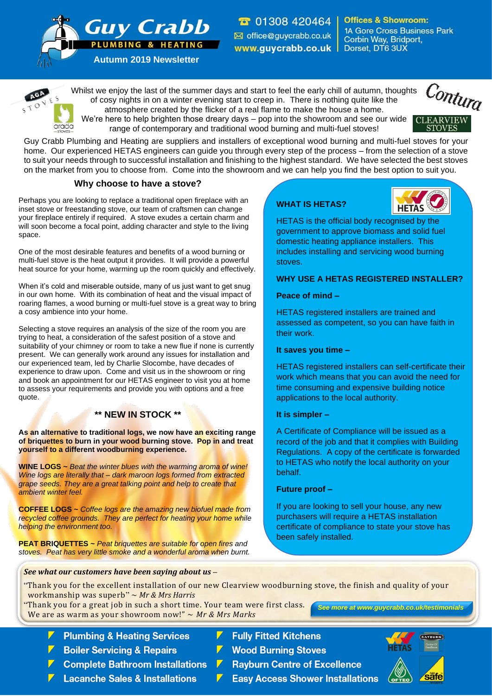**T** 01308 420464 office@guycrabb.co.uk www.guycrabb.co.uk |

**Offices & Showroom: 1A Gore Cross Business Park** Corbin Way, Bridport, Dorset, DT6 3UX

**PLUMBING & HEATING Autumn 2019 Newsletter**

**Guy Crabb** 

Whilst we enjoy the last of the summer days and start to feel the early chill of autumn, thoughts of cosy nights in on a winter evening start to creep in. There is nothing quite like the atmosphere created by the flicker of a real flame to make the house a home. We're here to help brighten those dreary days – pop into the showroom and see our wide



arada range of contemporary and traditional wood burning and multi-fuel stoves! Guy Crabb Plumbing and Heating are suppliers and installers of exceptional wood burning and multi-fuel stoves for your

home. Our experienced HETAS engineers can guide you through every step of the process – from the selection of a stove to suit your needs through to successful installation and finishing to the highest standard. We have selected the best stoves on the market from you to choose from. Come into the showroom and we can help you find the best option to suit you.

## **Why choose to have a stove?**

Perhaps you are looking to replace a traditional open fireplace with an inset stove or freestanding stove, our team of craftsmen can change your fireplace entirely if required. A stove exudes a certain charm and will soon become a focal point, adding character and style to the living space.

One of the most desirable features and benefits of a wood burning or multi-fuel stove is the heat output it provides. It will provide a powerful heat source for your home, warming up the room quickly and effectively.

When it's cold and miserable outside, many of us just want to get snug in our own home. With its combination of heat and the visual impact of roaring flames, a wood burning or multi-fuel stove is a great way to bring a cosy ambience into your home.

Selecting a stove requires an analysis of the size of the room you are trying to heat, a consideration of the safest position of a stove and suitability of your chimney or room to take a new flue if none is currently present. We can generally work around any issues for installation and our experienced team, led by Charlie Slocombe, have decades of experience to draw upon. Come and visit us in the showroom or ring and book an appointment for our HETAS engineer to visit you at home to assess your requirements and provide you with options and a free quote.

## **\*\* NEW IN STOCK \*\***

**As an alternative to traditional logs, we now have an exciting range of briquettes to burn in your wood burning stove. Pop in and treat yourself to a different woodburning experience.** 

**WINE LOGS ~** *Beat the winter blues with the warming aroma of wine! Wine logs are literally that – dark maroon logs formed from extracted grape seeds. They are a great talking point and help to create that ambient winter feel.*

**COFFEE LOGS ~** *Coffee logs are the amazing new biofuel made from recycled coffee grounds. They are perfect for heating your home while helping the environment too.*

**PEAT BRIQUETTES ~** *Peat briquettes are suitable for open fires and stoves. Peat has very little smoke and a wonderful aroma when burnt.*

# **WHAT IS HETAS?**



HETAS is the official body recognised by the government to approve biomass and solid fuel domestic heating appliance installers. This includes installing and servicing wood burning stoves.

## **WHY USE A HETAS REGISTERED INSTALLER?**

## **Peace of mind –**

HETAS registered installers are trained and assessed as competent, so you can have faith in their work.

**It saves you time –**

HETAS registered installers can self-certificate their work which means that you can avoid the need for time consuming and expensive building notice applications to the local authority.

#### **It is simpler –**

A Certificate of Compliance will be issued as a record of the job and that it complies with Building Regulations. A copy of the certificate is forwarded to HETAS who notify the local authority on your behalf.

#### **Future proof –**

If you are looking to sell your house, any new purchasers will require a HETAS installation certificate of compliance to state your stove has been safely installed.

*See what our customers have been saying about us –*

- "Thank you for the excellent installation of our new Clearview woodburning stove, the finish and quality of your workmanship was superb" ~ *Mr & Mrs Harris*
- "Thank you for a great job in such a short time. Your team were first class. We are as warm as your showroom now!" ~ *Mr & Mrs Marks*
	- **Plumbing & Heating Services**
	- **Boiler Servicing & Repairs**
	- **Complete Bathroom Installations**
	- **Lacanche Sales & Installations**
- **Fully Fitted Kitchens**
- **Wood Burning Stoves**
- **Rayburn Centre of Excellence**
- **Easy Access Shower Installations**



*See more at www.guycrabb.co.uk/testimonials*